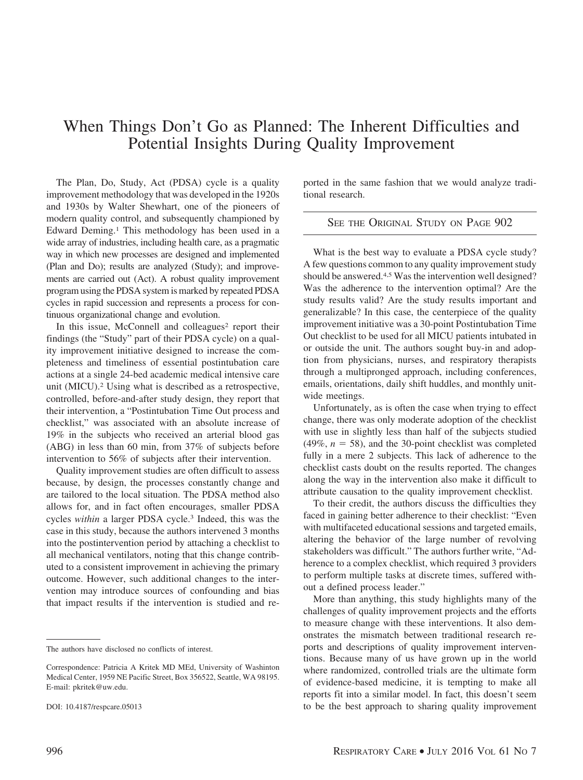# When Things Don't Go as Planned: The Inherent Difficulties and Potential Insights During Quality Improvement

The Plan, Do, Study, Act (PDSA) cycle is a quality improvement methodology that was developed in the 1920s and 1930s by Walter Shewhart, one of the pioneers of modern quality control, and subsequently championed by Edward Deming.1 This methodology has been used in a wide array of industries, including health care, as a pragmatic way in which new processes are designed and implemented (Plan and Do); results are analyzed (Study); and improvements are carried out (Act). A robust quality improvement program using the PDSA system is marked by repeated PDSA cycles in rapid succession and represents a process for continuous organizational change and evolution.

In this issue, McConnell and colleagues<sup>2</sup> report their findings (the "Study" part of their PDSA cycle) on a quality improvement initiative designed to increase the completeness and timeliness of essential postintubation care actions at a single 24-bed academic medical intensive care unit (MICU).2 Using what is described as a retrospective, controlled, before-and-after study design, they report that their intervention, a "Postintubation Time Out process and checklist," was associated with an absolute increase of 19% in the subjects who received an arterial blood gas (ABG) in less than 60 min, from 37% of subjects before intervention to 56% of subjects after their intervention.

Quality improvement studies are often difficult to assess because, by design, the processes constantly change and are tailored to the local situation. The PDSA method also allows for, and in fact often encourages, smaller PDSA cycles *within* a larger PDSA cycle.3 Indeed, this was the case in this study, because the authors intervened 3 months into the postintervention period by attaching a checklist to all mechanical ventilators, noting that this change contributed to a consistent improvement in achieving the primary outcome. However, such additional changes to the intervention may introduce sources of confounding and bias that impact results if the intervention is studied and re-

The authors have disclosed no conflicts of interest.

ported in the same fashion that we would analyze traditional research.

## SEE THE ORIGINAL STUDY ON PAGE 902

What is the best way to evaluate a PDSA cycle study? A few questions common to any quality improvement study should be answered.4,5 Was the intervention well designed? Was the adherence to the intervention optimal? Are the study results valid? Are the study results important and generalizable? In this case, the centerpiece of the quality improvement initiative was a 30-point Postintubation Time Out checklist to be used for all MICU patients intubated in or outside the unit. The authors sought buy-in and adoption from physicians, nurses, and respiratory therapists through a multipronged approach, including conferences, emails, orientations, daily shift huddles, and monthly unitwide meetings.

Unfortunately, as is often the case when trying to effect change, there was only moderate adoption of the checklist with use in slightly less than half of the subjects studied  $(49\%, n = 58)$ , and the 30-point checklist was completed fully in a mere 2 subjects. This lack of adherence to the checklist casts doubt on the results reported. The changes along the way in the intervention also make it difficult to attribute causation to the quality improvement checklist.

To their credit, the authors discuss the difficulties they faced in gaining better adherence to their checklist: "Even with multifaceted educational sessions and targeted emails, altering the behavior of the large number of revolving stakeholders was difficult." The authors further write, "Adherence to a complex checklist, which required 3 providers to perform multiple tasks at discrete times, suffered without a defined process leader."

More than anything, this study highlights many of the challenges of quality improvement projects and the efforts to measure change with these interventions. It also demonstrates the mismatch between traditional research reports and descriptions of quality improvement interventions. Because many of us have grown up in the world where randomized, controlled trials are the ultimate form of evidence-based medicine, it is tempting to make all reports fit into a similar model. In fact, this doesn't seem to be the best approach to sharing quality improvement

Correspondence: Patricia A Kritek MD MEd, University of Washinton Medical Center, 1959 NE Pacific Street, Box 356522, Seattle, WA 98195. E-mail: pkritek@uw.edu.

DOI: 10.4187/respcare.05013